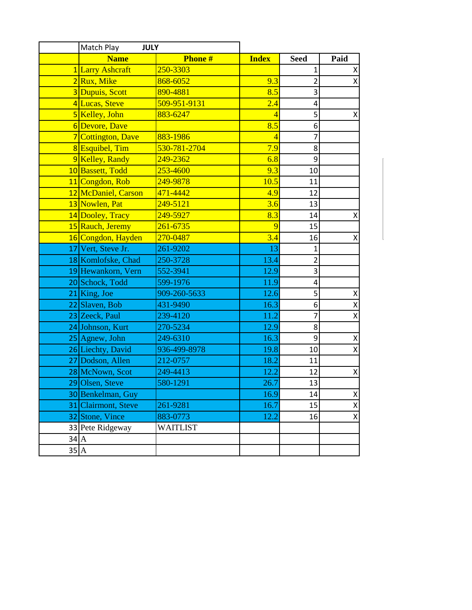|                   | Match Play<br><b>JULY</b>    |                 |                |                         |                         |
|-------------------|------------------------------|-----------------|----------------|-------------------------|-------------------------|
|                   | <b>Phone#</b><br><b>Name</b> |                 | <b>Index</b>   | <b>Seed</b>             | Paid                    |
|                   | 1 Larry Ashcraft             | 250-3303        |                | 1                       | Χ                       |
|                   | 2Rux, Mike                   | 868-6052        | 9.3            | $\overline{2}$          | $\pmb{\mathsf{X}}$      |
|                   | 3 Dupuis, Scott              | 890-4881        | 8.5            | 3                       |                         |
|                   | 4 Lucas, Steve               | 509-951-9131    | 2.4            | 4                       |                         |
|                   | 5 Kelley, John               | 883-6247        | $\overline{4}$ | 5                       | Χ                       |
|                   | 6Devore, Dave                |                 | 8.5            | 6                       |                         |
|                   | 7 Cottington, Dave           | 883-1986        | $\overline{4}$ | 7                       |                         |
|                   | 8 Esquibel, Tim              | 530-781-2704    | 7.9            | 8                       |                         |
|                   | 9 Kelley, Randy              | 249-2362        | 6.8            | 9                       |                         |
|                   | 10 Bassett, Todd             | 253-4600        | 9.3            | 10                      |                         |
|                   | 11 Congdon, Rob              | 249-9878        | 10.5           | 11                      |                         |
|                   | 12 McDaniel, Carson          | 471-4442        | 4.9            | 12                      |                         |
|                   | 13 Nowlen, Pat               | 249-5121        | 3.6            | 13                      |                         |
|                   | 14 Dooley, Tracy             | 249-5927        | 8.3            | 14                      | Χ                       |
|                   | 15 Rauch, Jeremy             | 261-6735        | 9              | 15                      |                         |
|                   | 16 Congdon, Hayden           | 270-0487        | 3.4            | 16                      | Χ                       |
|                   | 17 Vert, Steve Jr.           | 261-9202        | 13             | $\mathbf{1}$            |                         |
|                   | 18 Komlofske, Chad           | 250-3728        | 13.4           | $\overline{2}$          |                         |
|                   | 19 Hewankorn, Vern           | 552-3941        | 12.9           | 3                       |                         |
|                   | 20 Schock, Todd              | 599-1976        | 11.9           | $\overline{\mathbf{4}}$ |                         |
|                   | $21$ King, Joe               | 909-260-5633    | 12.6           | 5                       | $\pmb{\mathsf{X}}$      |
|                   | 22 Slaven, Bob               | 431-9490        | 16.3           | 6                       | X                       |
|                   | 23 Zeeck, Paul               | 239-4120        | 11.2           | 7                       | X                       |
|                   | 24 Johnson, Kurt             | 270-5234        | 12.9           | 8                       |                         |
|                   | $25$ Agnew, John             | 249-6310        | 16.3           | 9                       | X                       |
|                   | 26 Liechty, David            | 936-499-8978    | 19.8           | 10                      | X                       |
|                   | 27 Dodson, Allen             | 212-0757        | 18.2           | 11                      |                         |
|                   | 28 McNown, Scot              | 249-4413        | 12.2           | 12                      | $\pmb{\mathsf{X}}$      |
|                   | 29 Olsen, Steve              | 580-1291        | 26.7           | 13                      |                         |
|                   | 30 Benkelman, Guy            |                 | 16.9           | 14                      | X                       |
|                   | 31 Clairmont, Steve          | 261-9281        | 16.7           | 15                      | $\overline{\mathsf{X}}$ |
|                   | 32 Stone, Vince              | 883-0773        | 12.2           | 16                      | X                       |
|                   | 33 Pete Ridgeway             | <b>WAITLIST</b> |                |                         |                         |
| $34$ $A$          |                              |                 |                |                         |                         |
| $35$ <sup>A</sup> |                              |                 |                |                         |                         |